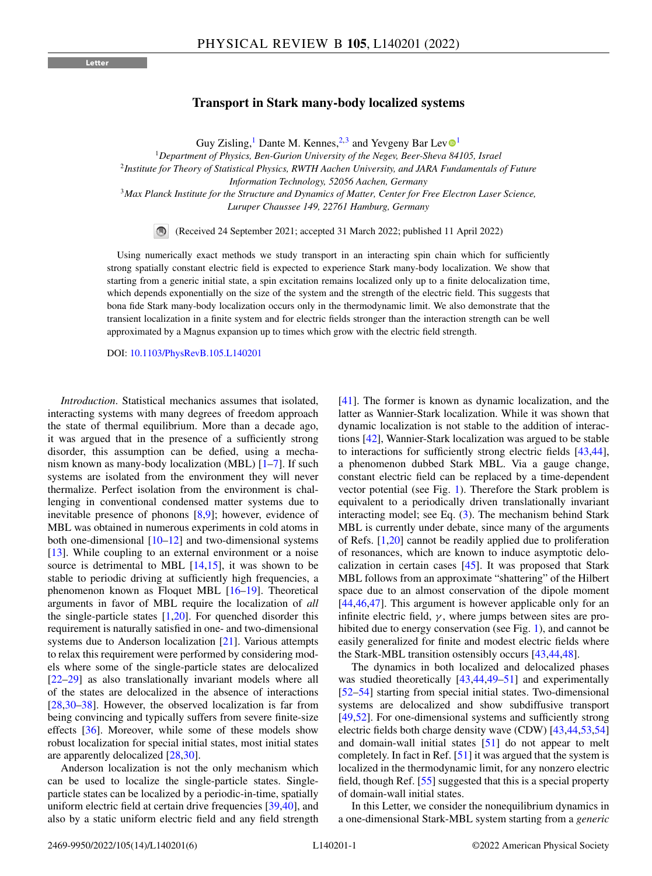## **Transport in Stark many-body localized systems**

Guy Zisling,<sup>[1](https://orcid.org/0000-0002-1908-0771)</sup> Dante M. Kennes,<sup>2,3</sup> and Yevgeny Bar Lev $\mathbb{O}^1$ 

<sup>1</sup>*Department of Physics, Ben-Gurion University of the Negev, Beer-Sheva 84105, Israel*

<sup>2</sup>*Institute for Theory of Statistical Physics, RWTH Aachen University, and JARA Fundamentals of Future*

*Information Technology, 52056 Aachen, Germany*

<sup>3</sup>*Max Planck Institute for the Structure and Dynamics of Matter, Center for Free Electron Laser Science, Luruper Chaussee 149, 22761 Hamburg, Germany*

(Received 24 September 2021; accepted 31 March 2022; published 11 April 2022)

Using numerically exact methods we study transport in an interacting spin chain which for sufficiently strong spatially constant electric field is expected to experience Stark many-body localization. We show that starting from a generic initial state, a spin excitation remains localized only up to a finite delocalization time, which depends exponentially on the size of the system and the strength of the electric field. This suggests that bona fide Stark many-body localization occurs only in the thermodynamic limit. We also demonstrate that the transient localization in a finite system and for electric fields stronger than the interaction strength can be well approximated by a Magnus expansion up to times which grow with the electric field strength.

DOI: [10.1103/PhysRevB.105.L140201](https://doi.org/10.1103/PhysRevB.105.L140201)

*Introduction*. Statistical mechanics assumes that isolated, interacting systems with many degrees of freedom approach the state of thermal equilibrium. More than a decade ago, it was argued that in the presence of a sufficiently strong disorder, this assumption can be defied, using a mechanism known as many-body localization (MBL) [\[1–7\]](#page-4-0). If such systems are isolated from the environment they will never thermalize. Perfect isolation from the environment is challenging in conventional condensed matter systems due to inevitable presence of phonons [\[8,9\]](#page-4-0); however, evidence of MBL was obtained in numerous experiments in cold atoms in both one-dimensional  $[10-12]$  and two-dimensional systems [\[13\]](#page-4-0). While coupling to an external environment or a noise source is detrimental to MBL [\[14,15\]](#page-4-0), it was shown to be stable to periodic driving at sufficiently high frequencies, a phenomenon known as Floquet MBL [\[16–19\]](#page-4-0). Theoretical arguments in favor of MBL require the localization of *all* the single-particle states  $[1,20]$ . For quenched disorder this requirement is naturally satisfied in one- and two-dimensional systems due to Anderson localization [\[21\]](#page-4-0). Various attempts to relax this requirement were performed by considering models where some of the single-particle states are delocalized [\[22–29\]](#page-4-0) as also translationally invariant models where all of the states are delocalized in the absence of interactions [\[28,30–38\]](#page-4-0). However, the observed localization is far from being convincing and typically suffers from severe finite-size effects [\[36\]](#page-4-0). Moreover, while some of these models show robust localization for special initial states, most initial states are apparently delocalized [\[28,30\]](#page-4-0).

Anderson localization is not the only mechanism which can be used to localize the single-particle states. Singleparticle states can be localized by a periodic-in-time, spatially uniform electric field at certain drive frequencies [\[39,](#page-4-0)[40\]](#page-5-0), and also by a static uniform electric field and any field strength

[\[41\]](#page-5-0). The former is known as dynamic localization, and the latter as Wannier-Stark localization. While it was shown that dynamic localization is not stable to the addition of interactions [\[42\]](#page-5-0), Wannier-Stark localization was argued to be stable to interactions for sufficiently strong electric fields [\[43,44\]](#page-5-0), a phenomenon dubbed Stark MBL. Via a gauge change, constant electric field can be replaced by a time-dependent vector potential (see Fig. [1\)](#page-1-0). Therefore the Stark problem is equivalent to a periodically driven translationally invariant interacting model; see Eq. [\(3\)](#page-2-0). The mechanism behind Stark MBL is currently under debate, since many of the arguments of Refs. [\[1,20\]](#page-4-0) cannot be readily applied due to proliferation of resonances, which are known to induce asymptotic delocalization in certain cases [\[45\]](#page-5-0). It was proposed that Stark MBL follows from an approximate "shattering" of the Hilbert space due to an almost conservation of the dipole moment [\[44,46,47\]](#page-5-0). This argument is however applicable only for an infinite electric field,  $\gamma$ , where jumps between sites are pro-hibited due to energy conservation (see Fig. [1\)](#page-1-0), and cannot be easily generalized for finite and modest electric fields where the Stark-MBL transition ostensibly occurs [\[43,44,48\]](#page-5-0).

The dynamics in both localized and delocalized phases was studied theoretically  $[43, 44, 49-51]$  and experimentally [\[52–54\]](#page-5-0) starting from special initial states. Two-dimensional systems are delocalized and show subdiffusive transport [\[49,52\]](#page-5-0). For one-dimensional systems and sufficiently strong electric fields both charge density wave (CDW) [\[43,44,53,54\]](#page-5-0) and domain-wall initial states [\[51\]](#page-5-0) do not appear to melt completely. In fact in Ref. [\[51\]](#page-5-0) it was argued that the system is localized in the thermodynamic limit, for any nonzero electric field, though Ref. [\[55\]](#page-5-0) suggested that this is a special property of domain-wall initial states.

In this Letter, we consider the nonequilibrium dynamics in a one-dimensional Stark-MBL system starting from a *generic*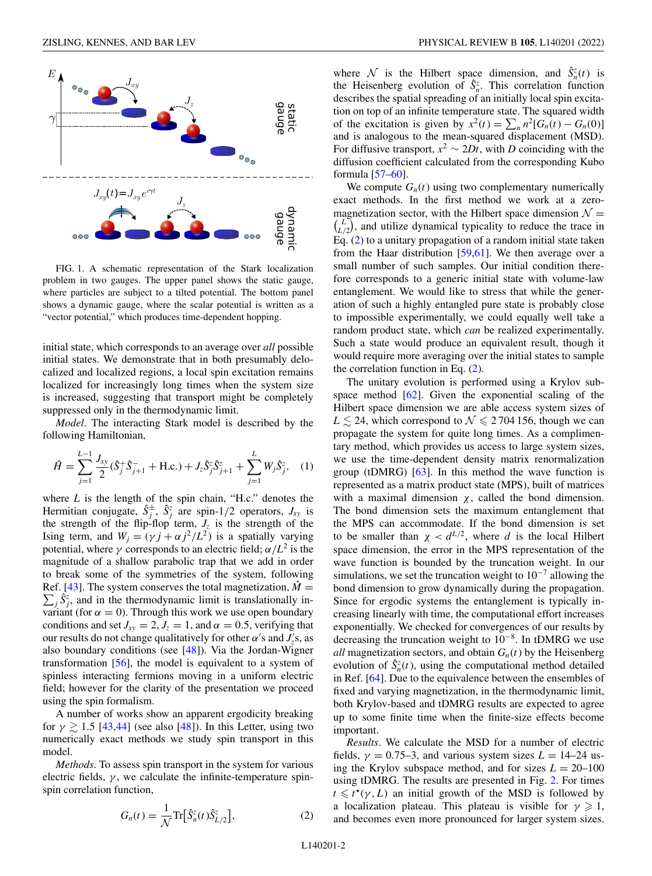<span id="page-1-0"></span>

FIG. 1. A schematic representation of the Stark localization problem in two gauges. The upper panel shows the static gauge, where particles are subject to a tilted potential. The bottom panel shows a dynamic gauge, where the scalar potential is written as a "vector potential," which produces time-dependent hopping.

initial state, which corresponds to an average over *all* possible initial states. We demonstrate that in both presumably delocalized and localized regions, a local spin excitation remains localized for increasingly long times when the system size is increased, suggesting that transport might be completely suppressed only in the thermodynamic limit.

*Model*. The interacting Stark model is described by the following Hamiltonian,

$$
\hat{H} = \sum_{j=1}^{L-1} \frac{J_{xy}}{2} (\hat{S}_j^+ \hat{S}_{j+1}^- + \text{H.c.}) + J_z \hat{S}_j^z \hat{S}_{j+1}^z + \sum_{j=1}^{L} W_j \hat{S}_j^z, \quad (1)
$$

where *L* is the length of the spin chain, "H.c." denotes the Hermitian conjugate,  $\hat{S}_j^{\pm}$ ,  $\hat{S}_j^z$  are spin-1/2 operators,  $J_{xy}$  is the strength of the flip-flop term,  $J_z$  is the strength of the Ising term, and  $W_j = (\gamma j + \alpha j^2/L^2)$  is a spatially varying potential, where  $\gamma$  corresponds to an electric field;  $\alpha/L^2$  is the magnitude of a shallow parabolic trap that we add in order to break some of the symmetries of the system, following Ref. [\[43\]](#page-5-0). The system conserves the total magnetization,  $\hat{M} =$  $\sum_j \hat{S}^z_j$ , and in the thermodynamic limit is translationally invariant (for  $\alpha = 0$ ). Through this work we use open boundary conditions and set  $J_{xy} = 2$ ,  $J_z = 1$ , and  $\alpha = 0.5$ , verifying that our results do not change qualitatively for other  $\alpha$ 's and  $J_z$ 's, as also boundary conditions (see [\[48\]](#page-5-0)). Via the Jordan-Wigner transformation [\[56\]](#page-5-0), the model is equivalent to a system of spinless interacting fermions moving in a uniform electric field; however for the clarity of the presentation we proceed using the spin formalism.

A number of works show an apparent ergodicity breaking for  $\gamma \gtrsim 1.5$  [\[43,44\]](#page-5-0) (see also [\[48\]](#page-5-0)). In this Letter, using two numerically exact methods we study spin transport in this model.

*Methods*. To assess spin transport in the system for various electric fields,  $\gamma$ , we calculate the infinite-temperature spinspin correlation function,

$$
G_n(t) = \frac{1}{\mathcal{N}} \text{Tr} \big[ \hat{S}_n^z(t) \hat{S}_{L/2}^z \big],\tag{2}
$$

where N is the Hilbert space dimension, and  $\hat{S}_n^z(t)$  is the Heisenberg evolution of  $\hat{S}_n^z$ . This correlation function describes the spatial spreading of an initially local spin excitation on top of an infinite temperature state. The squared width of the excitation is given by  $x^2(t) = \sum_n n^2[G_n(t) - G_n(0)]$ and is analogous to the mean-squared displacement (MSD). For diffusive transport,  $x^2 \sim 2Dt$ , with *D* coinciding with the diffusion coefficient calculated from the corresponding Kubo formula [\[57–60\]](#page-5-0).

We compute  $G_n(t)$  using two complementary numerically exact methods. In the first method we work at a zeromagnetization sector, with the Hilbert space dimension  $\mathcal{N} =$  $\binom{L}{L/2}$ , and utilize dynamical typicality to reduce the trace in Eq. (2) to a unitary propagation of a random initial state taken from the Haar distribution [\[59,61\]](#page-5-0). We then average over a small number of such samples. Our initial condition therefore corresponds to a generic initial state with volume-law entanglement. We would like to stress that while the generation of such a highly entangled pure state is probably close to impossible experimentally, we could equally well take a random product state, which *can* be realized experimentally. Such a state would produce an equivalent result, though it would require more averaging over the initial states to sample the correlation function in Eq.  $(2)$ .

The unitary evolution is performed using a Krylov subspace method [\[62\]](#page-5-0). Given the exponential scaling of the Hilbert space dimension we are able access system sizes of  $L \lesssim 24$ , which correspond to  $\mathcal{N} \leq 2704$  156, though we can propagate the system for quite long times. As a complimentary method, which provides us access to large system sizes, we use the time-dependent density matrix renormalization group (tDMRG)  $[63]$ . In this method the wave function is represented as a matrix product state (MPS), built of matrices with a maximal dimension  $\chi$ , called the bond dimension. The bond dimension sets the maximum entanglement that the MPS can accommodate. If the bond dimension is set to be smaller than  $\chi < d^{L/2}$ , where *d* is the local Hilbert space dimension, the error in the MPS representation of the wave function is bounded by the truncation weight. In our simulations, we set the truncation weight to  $10^{-7}$  allowing the bond dimension to grow dynamically during the propagation. Since for ergodic systems the entanglement is typically increasing linearly with time, the computational effort increases exponentially. We checked for convergences of our results by decreasing the truncation weight to  $10^{-8}$ . In tDMRG we use *all* magnetization sectors, and obtain  $G_n(t)$  by the Heisenberg evolution of  $\hat{S}_n^z(t)$ , using the computational method detailed in Ref. [\[64\]](#page-5-0). Due to the equivalence between the ensembles of fixed and varying magnetization, in the thermodynamic limit, both Krylov-based and tDMRG results are expected to agree up to some finite time when the finite-size effects become important.

*Results*. We calculate the MSD for a number of electric fields,  $\gamma = 0.75-3$ , and various system sizes  $L = 14-24$  using the Krylov subspace method, and for sizes  $L = 20{\text -}100$ using tDMRG. The results are presented in Fig. [2.](#page-2-0) For times  $t \leq t^{\star}(\gamma, L)$  an initial growth of the MSD is followed by a localization plateau. This plateau is visible for  $\gamma \geq 1$ , and becomes even more pronounced for larger system sizes.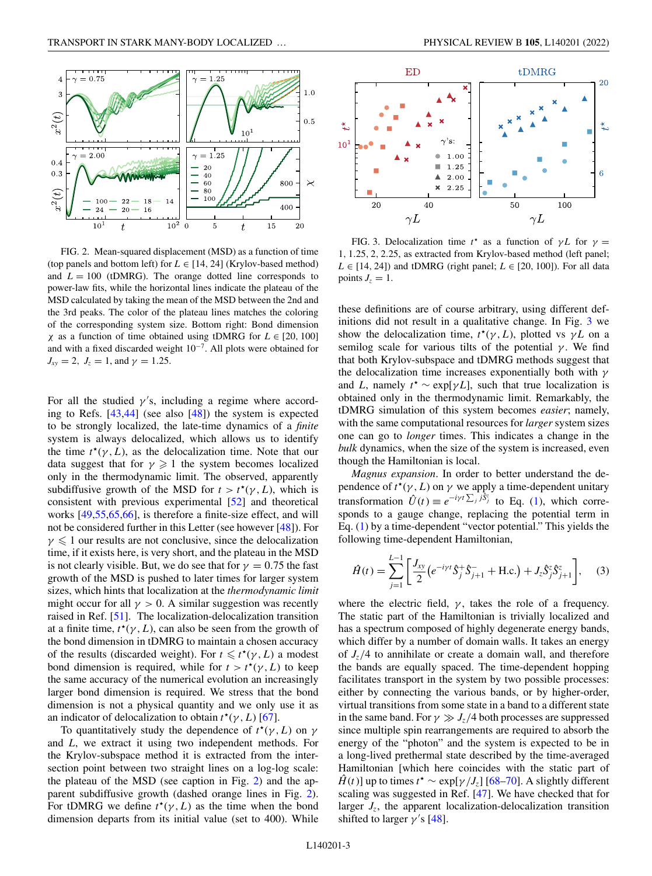<span id="page-2-0"></span>

FIG. 2. Mean-squared displacement (MSD) as a function of time (top panels and bottom left) for  $L \in [14, 24]$  (Krylov-based method) and  $L = 100$  (tDMRG). The orange dotted line corresponds to power-law fits, while the horizontal lines indicate the plateau of the MSD calculated by taking the mean of the MSD between the 2nd and the 3rd peaks. The color of the plateau lines matches the coloring of the corresponding system size. Bottom right: Bond dimension  $\chi$  as a function of time obtained using tDMRG for  $L \in [20, 100]$ and with a fixed discarded weight 10−7. All plots were obtained for  $J_{xy} = 2$ ,  $J_z = 1$ , and  $\gamma = 1.25$ .

For all the studied  $\gamma$ 's, including a regime where according to Refs. [\[43,44\]](#page-5-0) (see also [\[48\]](#page-5-0)) the system is expected to be strongly localized, the late-time dynamics of a *finite* system is always delocalized, which allows us to identify the time  $t^*(\gamma, L)$ , as the delocalization time. Note that our data suggest that for  $\gamma \geq 1$  the system becomes localized only in the thermodynamic limit. The observed, apparently subdiffusive growth of the MSD for  $t > t^*(\gamma, L)$ , which is consistent with previous experimental [\[52\]](#page-5-0) and theoretical works [\[49,55,65,66\]](#page-5-0), is therefore a finite-size effect, and will not be considered further in this Letter (see however [\[48\]](#page-5-0)). For  $\gamma \leq 1$  our results are not conclusive, since the delocalization time, if it exists here, is very short, and the plateau in the MSD is not clearly visible. But, we do see that for  $\gamma = 0.75$  the fast growth of the MSD is pushed to later times for larger system sizes, which hints that localization at the *thermodynamic limit* might occur for all  $\gamma > 0$ . A similar suggestion was recently raised in Ref. [\[51\]](#page-5-0). The localization-delocalization transition at a finite time,  $t^*(\gamma, L)$ , can also be seen from the growth of the bond dimension in tDMRG to maintain a chosen accuracy of the results (discarded weight). For  $t \leq t^*(\gamma, L)$  a modest bond dimension is required, while for  $t > t^*(\gamma, L)$  to keep the same accuracy of the numerical evolution an increasingly larger bond dimension is required. We stress that the bond dimension is not a physical quantity and we only use it as an indicator of delocalization to obtain  $t^*(\gamma, L)$  [\[67\]](#page-5-0).

To quantitatively study the dependence of  $t^*(\gamma, L)$  on  $\gamma$ and *L*, we extract it using two independent methods. For the Krylov-subspace method it is extracted from the intersection point between two straight lines on a log-log scale: the plateau of the MSD (see caption in Fig. 2) and the apparent subdiffusive growth (dashed orange lines in Fig. 2). For tDMRG we define  $t^*(\gamma, L)$  as the time when the bond dimension departs from its initial value (set to 400). While



FIG. 3. Delocalization time  $t^*$  as a function of  $\gamma L$  for  $\gamma =$ 1, 1.25, 2, 2.25, as extracted from Krylov-based method (left panel;  $L \in [14, 24]$ ) and tDMRG (right panel;  $L \in [20, 100]$ ). For all data points  $J_z = 1$ .

these definitions are of course arbitrary, using different definitions did not result in a qualitative change. In Fig. 3 we show the delocalization time,  $t^*(\gamma, L)$ , plotted vs  $\gamma L$  on a semilog scale for various tilts of the potential  $\gamma$ . We find that both Krylov-subspace and tDMRG methods suggest that the delocalization time increases exponentially both with  $\gamma$ and *L*, namely  $t^* \sim \exp[\gamma L]$ , such that true localization is obtained only in the thermodynamic limit. Remarkably, the tDMRG simulation of this system becomes *easier*; namely, with the same computational resources for *larger* system sizes one can go to *longer* times. This indicates a change in the *bulk* dynamics, when the size of the system is increased, even though the Hamiltonian is local.

*Magnus expansion*. In order to better understand the dependence of  $t^*(\gamma, L)$  on  $\gamma$  we apply a time-dependent unitary transformation  $\hat{U}(t) \equiv e^{-i\gamma t \sum_j j\hat{S}_j^z}$  to Eq. [\(1\)](#page-1-0), which corresponds to a gauge change, replacing the potential term in Eq. [\(1\)](#page-1-0) by a time-dependent "vector potential." This yields the following time-dependent Hamiltonian,

$$
\hat{H}(t) = \sum_{j=1}^{L-1} \left[ \frac{J_{xy}}{2} \left( e^{-iyt} \hat{S}_j^+ \hat{S}_{j+1}^- + \text{H.c.} \right) + J_z \hat{S}_j^z \hat{S}_{j+1}^z \right], \quad (3)
$$

where the electric field,  $\gamma$ , takes the role of a frequency. The static part of the Hamiltonian is trivially localized and has a spectrum composed of highly degenerate energy bands, which differ by a number of domain walls. It takes an energy of  $J_z/4$  to annihilate or create a domain wall, and therefore the bands are equally spaced. The time-dependent hopping facilitates transport in the system by two possible processes: either by connecting the various bands, or by higher-order, virtual transitions from some state in a band to a different state in the same band. For  $\gamma \gg J_z/4$  both processes are suppressed since multiple spin rearrangements are required to absorb the energy of the "photon" and the system is expected to be in a long-lived prethermal state described by the time-averaged Hamiltonian [which here coincides with the static part of  $\hat{H}(t)$ ] up to times  $t^* \sim \exp[\gamma / J_z]$  [\[68–70\]](#page-5-0). A slightly different scaling was suggested in Ref. [\[47\]](#page-5-0). We have checked that for larger  $J_z$ , the apparent localization-delocalization transition shifted to larger  $\gamma$ 's [\[48\]](#page-5-0).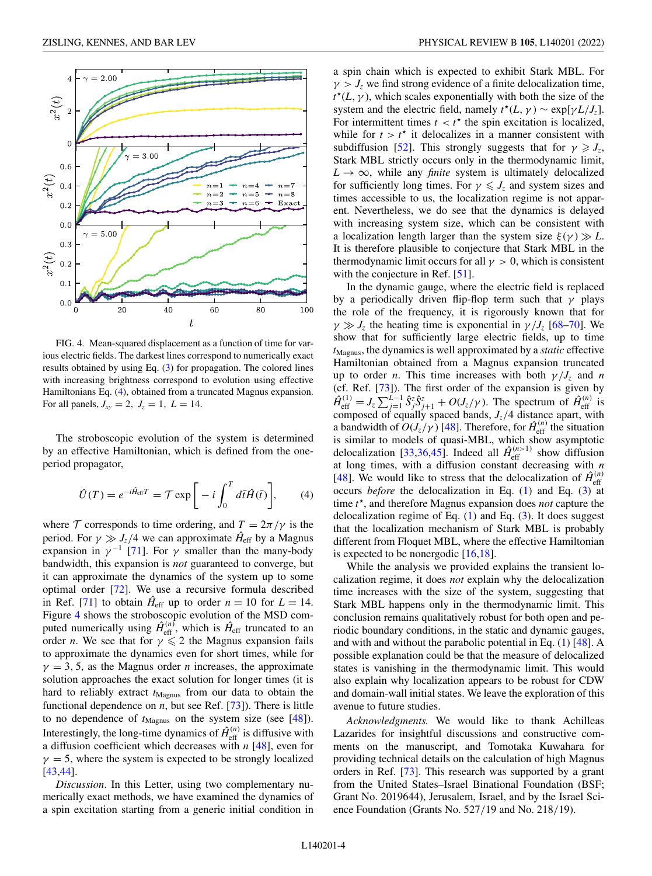

FIG. 4. Mean-squared displacement as a function of time for various electric fields. The darkest lines correspond to numerically exact results obtained by using Eq. [\(3\)](#page-2-0) for propagation. The colored lines with increasing brightness correspond to evolution using effective Hamiltonians Eq. (4), obtained from a truncated Magnus expansion. For all panels,  $J_{xy} = 2$ ,  $J_z = 1$ ,  $L = 14$ .

The stroboscopic evolution of the system is determined by an effective Hamiltonian, which is defined from the oneperiod propagator,

$$
\hat{U}(T) = e^{-i\hat{H}_{\text{eff}}T} = \mathcal{T} \exp\bigg[-i\int_0^T d\bar{t}\hat{H}(\bar{t})\bigg],\qquad(4)
$$

where  $\mathcal T$  corresponds to time ordering, and  $T = 2\pi/\gamma$  is the period. For  $\gamma \gg J_z/4$  we can approximate  $\hat{H}_{\text{eff}}$  by a Magnus expansion in  $\gamma^{-1}$  [\[71\]](#page-5-0). For  $\gamma$  smaller than the many-body bandwidth, this expansion is *not* guaranteed to converge, but it can approximate the dynamics of the system up to some optimal order [\[72\]](#page-5-0). We use a recursive formula described in Ref. [\[71\]](#page-5-0) to obtain  $\hat{H}_{\text{eff}}$  up to order  $n = 10$  for  $L = 14$ . Figure 4 shows the stroboscopic evolution of the MSD computed numerically using  $\hat{H}_{\text{eff}}^{(n)}$ , which is  $\hat{H}_{\text{eff}}$  truncated to an order *n*. We see that for  $\gamma \leq 2$  the Magnus expansion fails to approximate the dynamics even for short times, while for  $\gamma = 3, 5$ , as the Magnus order *n* increases, the approximate solution approaches the exact solution for longer times (it is hard to reliably extract  $t_{\text{Magnus}}$  from our data to obtain the functional dependence on *n*, but see Ref. [\[73\]](#page-5-0)). There is little to no dependence of  $t_{\text{Magnus}}$  on the system size (see [\[48\]](#page-5-0)). Interestingly, the long-time dynamics of  $\hat{H}_{\text{eff}}^{(n)}$  is diffusive with a diffusion coefficient which decreases with *n* [\[48\]](#page-5-0), even for  $\gamma = 5$ , where the system is expected to be strongly localized [\[43,44\]](#page-5-0).

*Discussion*. In this Letter, using two complementary numerically exact methods, we have examined the dynamics of a spin excitation starting from a generic initial condition in

a spin chain which is expected to exhibit Stark MBL. For  $\gamma > J_z$  we find strong evidence of a finite delocalization time,  $t^{\star}(L, \gamma)$ , which scales exponentially with both the size of the system and the electric field, namely  $t^*(L, \gamma) \sim \exp[\gamma L / J_z].$ For intermittent times  $t < t^*$  the spin excitation is localized, while for  $t > t^*$  it delocalizes in a manner consistent with subdiffusion [\[52\]](#page-5-0). This strongly suggests that for  $\gamma \geq J_7$ , Stark MBL strictly occurs only in the thermodynamic limit,  $L \rightarrow \infty$ , while any *finite* system is ultimately delocalized for sufficiently long times. For  $\gamma \leq J_z$  and system sizes and times accessible to us, the localization regime is not apparent. Nevertheless, we do see that the dynamics is delayed with increasing system size, which can be consistent with a localization length larger than the system size  $\xi(\gamma) \gg L$ . It is therefore plausible to conjecture that Stark MBL in the thermodynamic limit occurs for all  $\gamma > 0$ , which is consistent with the conjecture in Ref. [\[51\]](#page-5-0).

In the dynamic gauge, where the electric field is replaced by a periodically driven flip-flop term such that  $\gamma$  plays the role of the frequency, it is rigorously known that for  $\gamma \gg J_z$  the heating time is exponential in  $\gamma / J_z$  [\[68–70\]](#page-5-0). We show that for sufficiently large electric fields, up to time *t*Magnus, the dynamics is well approximated by a *static* effective Hamiltonian obtained from a Magnus expansion truncated up to order *n*. This time increases with both  $\gamma / J_z$  and *n* (cf. Ref. [\[73\]](#page-5-0)). The first order of the expansion is given by  $\hat{H}_{\text{eff}}^{(1)} = J_z \sum_{j=1}^{L-1} \hat{S}_{j}^z \hat{S}_{j+1}^z + O(J_z/\gamma)$ . The spectrum of  $\hat{H}_{\text{eff}}^{(n)}$  is composed of equally spaced bands,  $J_z/4$  distance apart, with a bandwidth of  $O(J_z/\gamma)$  [\[48\]](#page-5-0). Therefore, for  $\hat{H}_{\text{eff}}^{(n)}$  the situation is similar to models of quasi-MBL, which show asymptotic delocalization [\[33,36](#page-4-0)[,45\]](#page-5-0). Indeed all  $\hat{H}_{\text{eff}}^{(n>1)}$  show diffusion at long times, with a diffusion constant decreasing with *n* [\[48\]](#page-5-0). We would like to stress that the delocalization of  $\hat{H}_{\text{eff}}^{(n)}$ occurs *before* the delocalization in Eq. [\(1\)](#page-1-0) and Eq. [\(3\)](#page-2-0) at time *t* , and therefore Magnus expansion does *not* capture the delocalization regime of Eq.  $(1)$  and Eq.  $(3)$ . It does suggest that the localization mechanism of Stark MBL is probably different from Floquet MBL, where the effective Hamiltonian is expected to be nonergodic [\[16,18\]](#page-4-0).

While the analysis we provided explains the transient localization regime, it does *not* explain why the delocalization time increases with the size of the system, suggesting that Stark MBL happens only in the thermodynamic limit. This conclusion remains qualitatively robust for both open and periodic boundary conditions, in the static and dynamic gauges, and with and without the parabolic potential in Eq. [\(1\)](#page-1-0) [\[48\]](#page-5-0). A possible explanation could be that the measure of delocalized states is vanishing in the thermodynamic limit. This would also explain why localization appears to be robust for CDW and domain-wall initial states. We leave the exploration of this avenue to future studies.

*Acknowledgments.* We would like to thank Achilleas Lazarides for insightful discussions and constructive comments on the manuscript, and Tomotaka Kuwahara for providing technical details on the calculation of high Magnus orders in Ref. [\[73\]](#page-5-0). This research was supported by a grant from the United States–Israel Binational Foundation (BSF; Grant No. 2019644), Jerusalem, Israel, and by the Israel Science Foundation (Grants No. 527/19 and No. 218/19).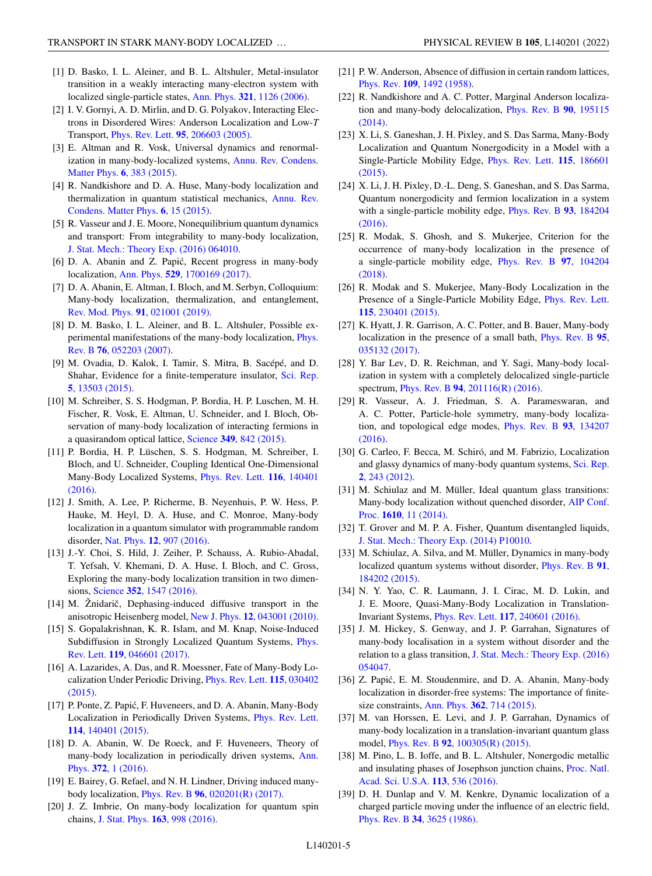- <span id="page-4-0"></span>[1] D. Basko, I. L. Aleiner, and B. L. Altshuler, Metal-insulator transition in a weakly interacting many-electron system with localized single-particle states, Ann. Phys. **321**[, 1126 \(2006\).](https://doi.org/10.1016/j.aop.2005.11.014)
- [2] I. V. Gornyi, A. D. Mirlin, and D. G. Polyakov, Interacting Electrons in Disordered Wires: Anderson Localization and Low-*T* Transport, Phys. Rev. Lett. **95**[, 206603 \(2005\).](https://doi.org/10.1103/PhysRevLett.95.206603)
- [3] E. Altman and R. Vosk, Universal dynamics and renormal[ization in many-body-localized systems,](https://doi.org/10.1146/annurev-conmatphys-031214-014701) Annu. Rev. Condens. Matter Phys. **6**, 383 (2015).
- [4] R. Nandkishore and D. A. Huse, Many-body localization and [thermalization in quantum statistical mechanics,](https://doi.org/10.1146/annurev-conmatphys-031214-014726) Annu. Rev. Condens. Matter Phys. **6**, 15 (2015).
- [5] R. Vasseur and J. E. Moore, Nonequilibrium quantum dynamics and transport: From integrability to many-body localization, [J. Stat. Mech.: Theory Exp. \(2016\) 064010.](https://doi.org/10.1088/1742-5468/2016/06/064010)
- [6] D. A. Abanin and Z. Papić, Recent progress in many-body localization, Ann. Phys. **529**[, 1700169 \(2017\).](https://doi.org/10.1002/andp.201700169)
- [7] D. A. Abanin, E. Altman, I. Bloch, and M. Serbyn, Colloquium: Many-body localization, thermalization, and entanglement, [Rev. Mod. Phys.](https://doi.org/10.1103/RevModPhys.91.021001) **91**, 021001 (2019).
- [8] D. M. Basko, I. L. Aleiner, and B. L. Altshuler, Possible ex[perimental manifestations of the many-body localization,](https://doi.org/10.1103/PhysRevB.76.052203) Phys. Rev. B **76**, 052203 (2007).
- [9] M. Ovadia, D. Kalok, I. Tamir, S. Mitra, B. Sacépé, and D. [Shahar, Evidence for a finite-temperature insulator,](https://doi.org/10.1038/srep13503) Sci. Rep. **5**, 13503 (2015).
- [10] M. Schreiber, S. S. Hodgman, P. Bordia, H. P. Luschen, M. H. Fischer, R. Vosk, E. Altman, U. Schneider, and I. Bloch, Observation of many-body localization of interacting fermions in a quasirandom optical lattice, Science **349**[, 842 \(2015\).](https://doi.org/10.1126/science.aaa7432)
- [11] P. Bordia, H. P. Lüschen, S. S. Hodgman, M. Schreiber, I. Bloch, and U. Schneider, Coupling Identical One-Dimensional [Many-Body Localized Systems,](https://doi.org/10.1103/PhysRevLett.116.140401) Phys. Rev. Lett. **116**, 140401 (2016).
- [12] J. Smith, A. Lee, P. Richerme, B. Neyenhuis, P. W. Hess, P. Hauke, M. Heyl, D. A. Huse, and C. Monroe, Many-body localization in a quantum simulator with programmable random disorder, Nat. Phys. **12**[, 907 \(2016\).](https://doi.org/10.1038/nphys3783)
- [13] J.-Y. Choi, S. Hild, J. Zeiher, P. Schauss, A. Rubio-Abadal, T. Yefsah, V. Khemani, D. A. Huse, I. Bloch, and C. Gross, Exploring the many-body localization transition in two dimensions, Science **352**[, 1547 \(2016\).](https://doi.org/10.1126/science.aaf8834)
- $[14]$  M. Žnidarič, Dephasing-induced diffusive transport in the anisotropic Heisenberg model, New J. Phys. **12**[, 043001 \(2010\).](https://doi.org/10.1088/1367-2630/12/4/043001)
- [15] S. Gopalakrishnan, K. R. Islam, and M. Knap, Noise-Induced [Subdiffusion in Strongly Localized Quantum Systems,](https://doi.org/10.1103/PhysRevLett.119.046601) Phys. Rev. Lett. **119**, 046601 (2017).
- [16] A. Lazarides, A. Das, and R. Moessner, Fate of Many-Body Lo[calization Under Periodic Driving,](https://doi.org/10.1103/PhysRevLett.115.030402) Phys. Rev. Lett. **115**, 030402 (2015).
- [17] P. Ponte, Z. Papić, F. Huveneers, and D. A. Abanin, Many-Body [Localization in Periodically Driven Systems,](https://doi.org/10.1103/PhysRevLett.114.140401) Phys. Rev. Lett. **114**, 140401 (2015).
- [18] D. A. Abanin, W. De Roeck, and F. Huveneers, Theory of [many-body localization in periodically driven systems,](https://doi.org/10.1016/j.aop.2016.03.010) Ann. Phys. **372**, 1 (2016).
- [19] E. Bairey, G. Refael, and N. H. Lindner, Driving induced manybody localization, Phys. Rev. B **96**[, 020201\(R\) \(2017\).](https://doi.org/10.1103/PhysRevB.96.020201)
- [20] J. Z. Imbrie, On many-body localization for quantum spin chains, [J. Stat. Phys.](https://doi.org/10.1007/s10955-016-1508-x) **163**, 998 (2016).
- [21] P. W. Anderson, Absence of diffusion in certain random lattices, Phys. Rev. **109**[, 1492 \(1958\).](https://doi.org/10.1103/PhysRev.109.1492)
- [22] R. Nandkishore and A. C. Potter, Marginal Anderson localiza[tion and many-body delocalization,](https://doi.org/10.1103/PhysRevB.90.195115) Phys. Rev. B **90**, 195115 (2014).
- [23] X. Li, S. Ganeshan, J. H. Pixley, and S. Das Sarma, Many-Body Localization and Quantum Nonergodicity in a Model with a [Single-Particle Mobility Edge,](https://doi.org/10.1103/PhysRevLett.115.186601) Phys. Rev. Lett. **115**, 186601 (2015).
- [24] X. Li, J. H. Pixley, D.-L. Deng, S. Ganeshan, and S. Das Sarma, Quantum nonergodicity and fermion localization in a system [with a single-particle mobility edge,](https://doi.org/10.1103/PhysRevB.93.184204) Phys. Rev. B **93**, 184204 (2016).
- [25] R. Modak, S. Ghosh, and S. Mukerjee, Criterion for the occurrence of many-body localization in the presence of [a single-particle mobility edge,](https://doi.org/10.1103/PhysRevB.97.104204) Phys. Rev. B **97**, 104204 (2018).
- [26] R. Modak and S. Mukerjee, Many-Body Localization in the [Presence of a Single-Particle Mobility Edge,](https://doi.org/10.1103/PhysRevLett.115.230401) Phys. Rev. Lett. **115**, 230401 (2015).
- [27] K. Hyatt, J. R. Garrison, A. C. Potter, and B. Bauer, Many-body [localization in the presence of a small bath,](https://doi.org/10.1103/PhysRevB.95.035132) Phys. Rev. B **95**, 035132 (2017).
- [28] Y. Bar Lev, D. R. Reichman, and Y. Sagi, Many-body localization in system with a completely delocalized single-particle spectrum, Phys. Rev. B **94**[, 201116\(R\) \(2016\).](https://doi.org/10.1103/PhysRevB.94.201116)
- [29] R. Vasseur, A. J. Friedman, S. A. Parameswaran, and A. C. Potter, Particle-hole symmetry, many-body localiza[tion, and topological edge modes,](https://doi.org/10.1103/PhysRevB.93.134207) Phys. Rev. B **93**, 134207 (2016).
- [30] G. Carleo, F. Becca, M. Schiró, and M. Fabrizio, Localization [and glassy dynamics of many-body quantum systems,](https://doi.org/10.1038/srep00243) Sci. Rep. **2**, 243 (2012).
- [31] M. Schiulaz and M. Müller, Ideal quantum glass transitions: [Many-body localization without quenched disorder,](https://doi.org/10.1063/1.4893505) AIP Conf. Proc. **1610**, 11 (2014).
- [32] T. Grover and M. P. A. Fisher, Quantum disentangled liquids, [J. Stat. Mech.: Theory Exp. \(2014\) P10010.](https://doi.org/10.1088/1742-5468/2014/10/P10010)
- [33] M. Schiulaz, A. Silva, and M. Müller, Dynamics in many-body [localized quantum systems without disorder,](https://doi.org/10.1103/PhysRevB.91.184202) Phys. Rev. B **91**, 184202 (2015).
- [34] N. Y. Yao, C. R. Laumann, J. I. Cirac, M. D. Lukin, and J. E. Moore, Quasi-Many-Body Localization in Translation-Invariant Systems, Phys. Rev. Lett. **117**[, 240601 \(2016\).](https://doi.org/10.1103/PhysRevLett.117.240601)
- [35] J. M. Hickey, S. Genway, and J. P. Garrahan, Signatures of many-body localisation in a system without disorder and the relation to a glass transition, [J. Stat. Mech.: Theory Exp. \(2016\)](https://doi.org/10.1088/1742-5468/2016/05/054047) 054047.
- [36] Z. Papić, E. M. Stoudenmire, and D. A. Abanin, Many-body localization in disorder-free systems: The importance of finitesize constraints, Ann. Phys. **362**[, 714 \(2015\).](https://doi.org/10.1016/j.aop.2015.08.024)
- [37] M. van Horssen, E. Levi, and J. P. Garrahan, Dynamics of many-body localization in a translation-invariant quantum glass model, Phys. Rev. B **92**[, 100305\(R\) \(2015\).](https://doi.org/10.1103/PhysRevB.92.100305)
- [38] M. Pino, L. B. Ioffe, and B. L. Altshuler, Nonergodic metallic [and insulating phases of Josephson junction chains,](https://doi.org/10.1073/pnas.1520033113) Proc. Natl. Acad. Sci. U.S.A. **113**, 536 (2016).
- [39] D. H. Dunlap and V. M. Kenkre, Dynamic localization of a charged particle moving under the influence of an electric field, Phys. Rev. B **34**[, 3625 \(1986\).](https://doi.org/10.1103/PhysRevB.34.3625)